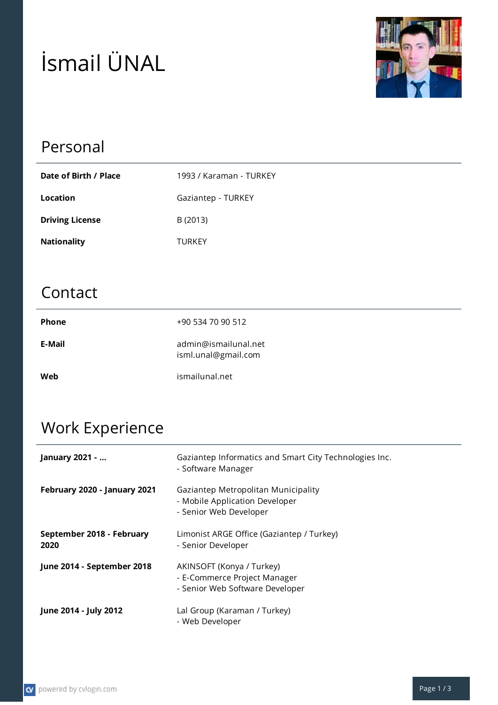# İsmail ÜNAL



### Personal

| Date of Birth / Place  | 1993 / Karaman - TURKEY |
|------------------------|-------------------------|
| Location               | Gaziantep - TURKEY      |
| <b>Driving License</b> | B (2013)                |
| <b>Nationality</b>     | TURKEY                  |

#### Contact

| <b>Phone</b> | +90 534 70 90 512                           |
|--------------|---------------------------------------------|
| E-Mail       | admin@ismailunal.net<br>isml.unal@gmail.com |
| Web          | ismailunal.net                              |

## Work Experience

| January 2021 -                    | Gaziantep Informatics and Smart City Technologies Inc.<br>- Software Manager                    |
|-----------------------------------|-------------------------------------------------------------------------------------------------|
| February 2020 - January 2021      | Gaziantep Metropolitan Municipality<br>- Mobile Application Developer<br>- Senior Web Developer |
| September 2018 - February<br>2020 | Limonist ARGE Office (Gaziantep / Turkey)<br>- Senior Developer                                 |
| June 2014 - September 2018        | AKINSOFT (Konya / Turkey)<br>- E-Commerce Project Manager<br>- Senior Web Software Developer    |
| June 2014 - July 2012             | Lal Group (Karaman / Turkey)<br>- Web Developer                                                 |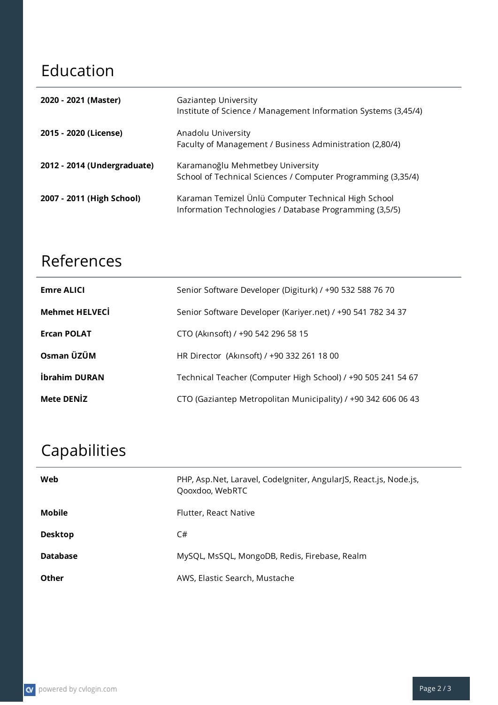### Education

| 2020 - 2021 (Master)        | Gaziantep University<br>Institute of Science / Management Information Systems (3,45/4)                         |
|-----------------------------|----------------------------------------------------------------------------------------------------------------|
| 2015 - 2020 (License)       | Anadolu University<br>Faculty of Management / Business Administration (2,80/4)                                 |
| 2012 - 2014 (Undergraduate) | Karamanoğlu Mehmetbey University<br>School of Technical Sciences / Computer Programming (3,35/4)               |
| 2007 - 2011 (High School)   | Karaman Temizel Ünlü Computer Technical High School<br>Information Technologies / Database Programming (3,5/5) |

### References

| <b>Emre ALICI</b>     | Senior Software Developer (Digiturk) / +90 532 588 76 70      |
|-----------------------|---------------------------------------------------------------|
| <b>Mehmet HELVECİ</b> | Senior Software Developer (Kariyer.net) / +90 541 782 34 37   |
| <b>Ercan POLAT</b>    | CTO (Akinsoft) / +90 542 296 58 15                            |
| Osman ÜZÜM            | HR Director (Akinsoft) / +90 332 261 18 00                    |
| İbrahim DURAN         | Technical Teacher (Computer High School) / +90 505 241 54 67  |
| <b>Mete DENIZ</b>     | CTO (Gaziantep Metropolitan Municipality) / +90 342 606 06 43 |

## Capabilities

| Web             | PHP, Asp.Net, Laravel, Codelgniter, AngularJS, React.js, Node.js,<br>Qooxdoo, WebRTC |
|-----------------|--------------------------------------------------------------------------------------|
| <b>Mobile</b>   | Flutter, React Native                                                                |
| <b>Desktop</b>  | C#                                                                                   |
| <b>Database</b> | MySQL, MsSQL, MongoDB, Redis, Firebase, Realm                                        |
| <b>Other</b>    | AWS, Elastic Search, Mustache                                                        |